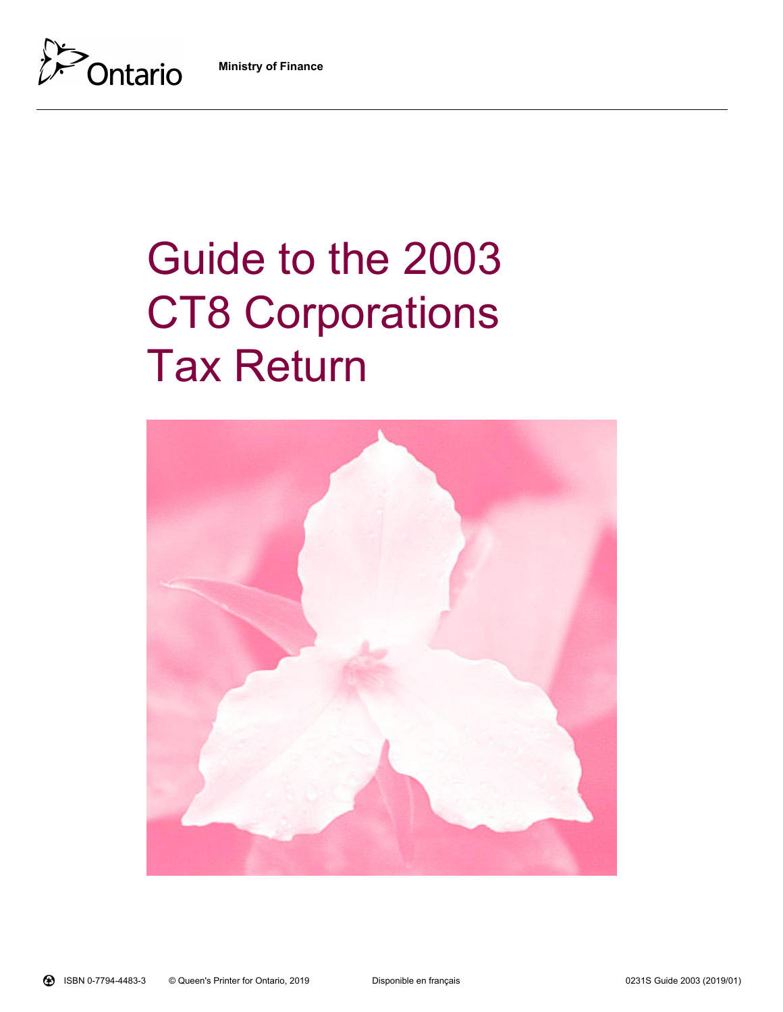**Ministry of Finance**



# Guide to the 2003 **CT8 Corporations** Tax Return

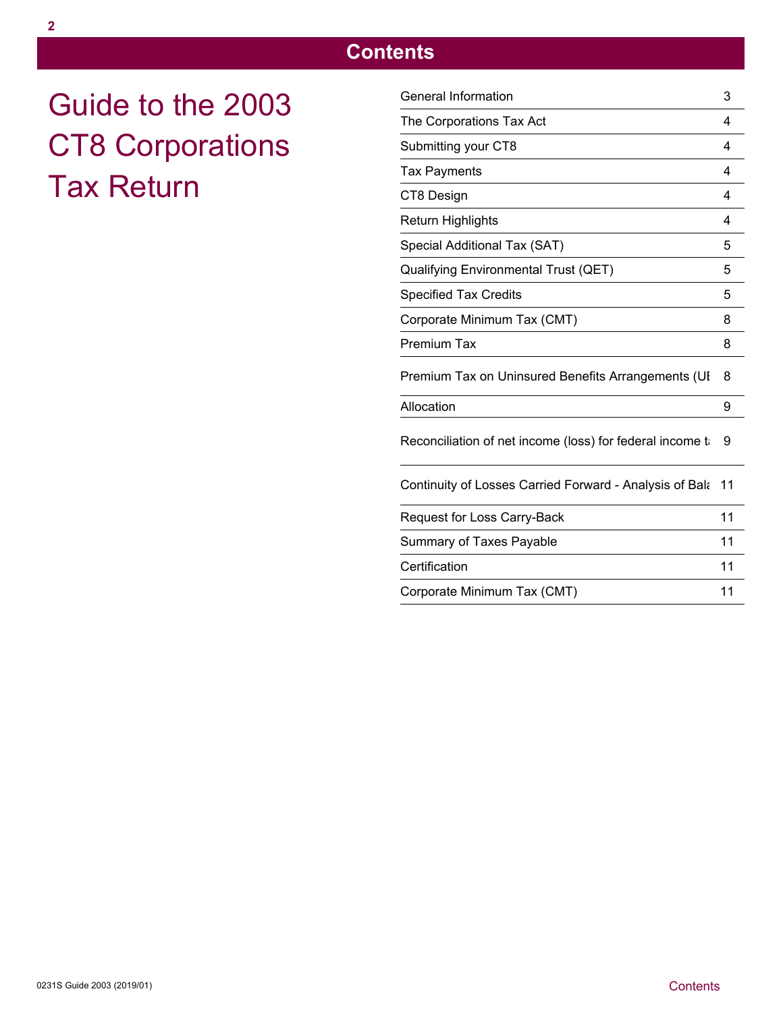# **Contents**

Guide to the 2003 CT8 Corporations Tax Return

| General Information                                        | 3          |
|------------------------------------------------------------|------------|
| The Corporations Tax Act                                   | 4          |
| Submitting your CT8                                        | 4          |
| <b>Tax Payments</b>                                        | 4          |
| CT8 Design                                                 | 4          |
| Return Highlights                                          | 4          |
| Special Additional Tax (SAT)                               | $\sqrt{5}$ |
| Qualifying Environmental Trust (QET)                       | 5          |
| <b>Specified Tax Credits</b>                               | 5          |
| Corporate Minimum Tax (CMT)                                | 8          |
| Premium Tax                                                | 8          |
| Premium Tax on Uninsured Benefits Arrangements (UI         | 8          |
| Allocation                                                 | 9          |
| Reconciliation of net income (loss) for federal income ti  | 9          |
| Continuity of Losses Carried Forward - Analysis of Bala 11 |            |
| Request for Loss Carry-Back                                | 11         |
| Summary of Taxes Payable                                   | 11         |
| Certification                                              | 11         |
| Corporate Minimum Tax (CMT)                                | 11         |
|                                                            |            |
|                                                            |            |
|                                                            |            |
|                                                            |            |
|                                                            |            |
| Contents                                                   |            |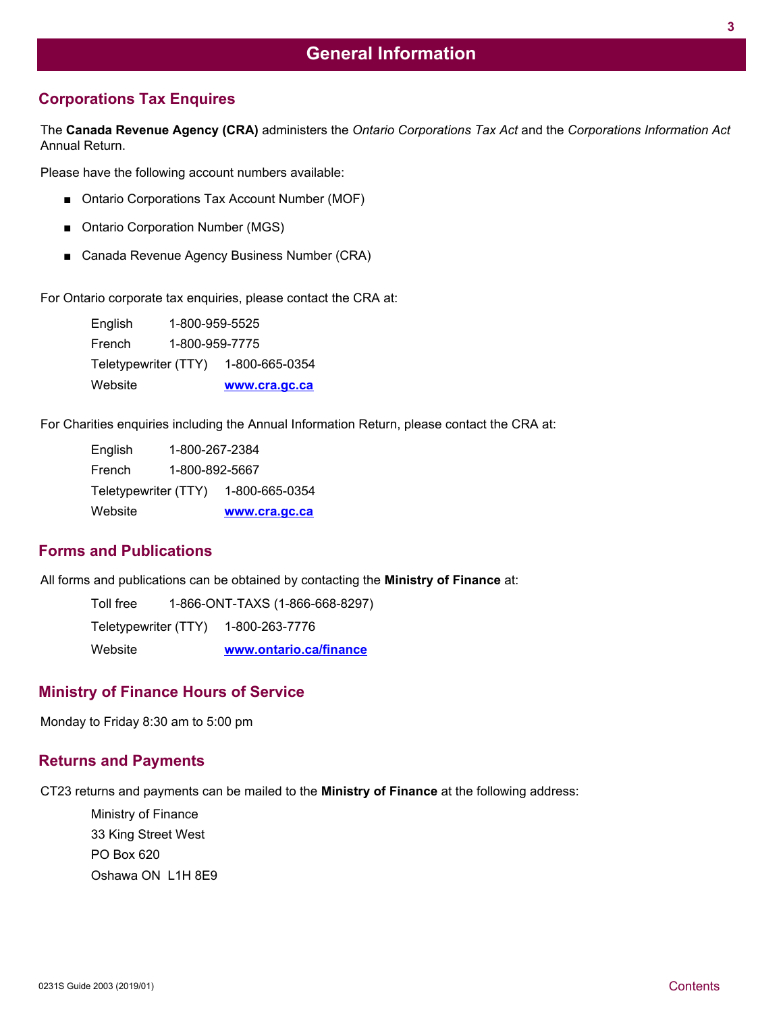## **Corporations Tax Enquires**

The **Canada Revenue Agency (CRA)** administers the *Ontario Corporations Tax Act* and the *Corporations Information Act* Annual Return.

Please have the following account numbers available:

- Ontario Corporations Tax Account Number (MOF)
- Ontario Corporation Number (MGS)
- Canada Revenue Agency Business Number (CRA)

For Ontario corporate tax enquiries, please contact the CRA at:

English 1-800-959-5525 French 1-800-959-7775 Teletypewriter (TTY) 1-800-665-0354 Website **<www.cra.gc.ca>**

For Charities enquiries including the Annual Information Return, please contact the CRA at:

English 1-800-267-2384 French 1-800-892-5667 Teletypewriter (TTY) 1-800-665-0354 Website **<www.cra.gc.ca>**

## **Forms and Publications**

All forms and publications can be obtained by contacting the **Ministry of Finance** at:

Toll free 1-866-ONT-TAXS (1-866-668-8297) Teletypewriter (TTY) 1-800-263-7776 Website **<www.ontario.ca/finance>**

## **Ministry of Finance Hours of Service**

Monday to Friday 8:30 am to 5:00 pm

#### **Returns and Payments**

CT23 returns and payments can be mailed to the **Ministry of Finance** at the following address:

Ministry of Finance 33 King Street West PO Box 620 Oshawa ON L1H 8E9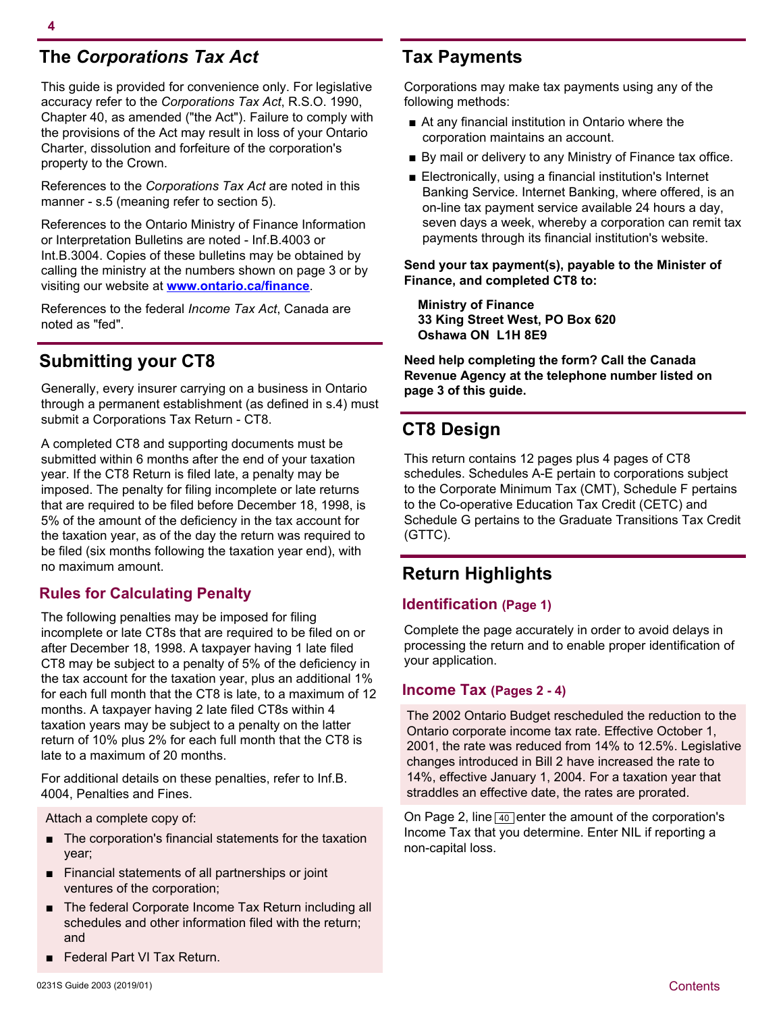# **The** *Corporations Tax Act*

This guide is provided for convenience only. For legislative accuracy refer to the *Corporations Tax Act*, R.S.O. 1990, Chapter 40, as amended ("the Act"). Failure to comply with the provisions of the Act may result in loss of your Ontario Charter, dissolution and forfeiture of the corporation's property to the Crown.

References to the *Corporations Tax Act* are noted in this manner - s.5 (meaning refer to section 5).

References to the Ontario Ministry of Finance Information or Interpretation Bulletins are noted - Inf.B.4003 or Int.B.3004. Copies of these bulletins may be obtained by calling the ministry at the numbers shown on page 3 or by visiting our website at **<www.ontario.ca/finance>**.

References to the federal *Income Tax Act*, Canada are noted as "fed".

# **Submitting your CT8**

Generally, every insurer carrying on a business in Ontario through a permanent establishment (as defined in s.4) must submit a Corporations Tax Return - CT8.

A completed CT8 and supporting documents must be submitted within 6 months after the end of your taxation year. If the CT8 Return is filed late, a penalty may be imposed. The penalty for filing incomplete or late returns that are required to be filed before December 18, 1998, is 5% of the amount of the deficiency in the tax account for the taxation year, as of the day the return was required to be filed (six months following the taxation year end), with no maximum amount.

## **Rules for Calculating Penalty**

The following penalties may be imposed for filing incomplete or late CT8s that are required to be filed on or after December 18, 1998. A taxpayer having 1 late filed CT8 may be subject to a penalty of 5% of the deficiency in the tax account for the taxation year, plus an additional 1% for each full month that the CT8 is late, to a maximum of 12 months. A taxpayer having 2 late filed CT8s within 4 taxation years may be subject to a penalty on the latter return of 10% plus 2% for each full month that the CT8 is late to a maximum of 20 months.

For additional details on these penalties, refer to Inf.B. 4004, Penalties and Fines.

Attach a complete copy of:

- The corporation's financial statements for the taxation year;
- Financial statements of all partnerships or joint ventures of the corporation;
- The federal Corporate Income Tax Return including all schedules and other information filed with the return; and
- Federal Part VI Tax Return.

# **Tax Payments**

Corporations may make tax payments using any of the following methods:

- At any financial institution in Ontario where the corporation maintains an account.
- By mail or delivery to any Ministry of Finance tax office.
- Electronically, using a financial institution's Internet Banking Service. Internet Banking, where offered, is an on-line tax payment service available 24 hours a day, seven days a week, whereby a corporation can remit tax payments through its financial institution's website.

**Send your tax payment(s), payable to the Minister of Finance, and completed CT8 to:** 

**Ministry of Finance 33 King Street West, PO Box 620 Oshawa ON L1H 8E9**

**Need help completing the form? Call the Canada Revenue Agency at the telephone number listed on page 3 of this guide.**

# **CT8 Design**

This return contains 12 pages plus 4 pages of CT8 schedules. Schedules A-E pertain to corporations subject to the Corporate Minimum Tax (CMT), Schedule F pertains to the Co-operative Education Tax Credit (CETC) and Schedule G pertains to the Graduate Transitions Tax Credit (GTTC).

# **Return Highlights**

#### **Identification (Page 1)**

Complete the page accurately in order to avoid delays in processing the return and to enable proper identification of your application.

#### **Income Tax (Pages 2 - 4)**

The 2002 Ontario Budget rescheduled the reduction to the Ontario corporate income tax rate. Effective October 1, 2001, the rate was reduced from 14% to 12.5%. Legislative changes introduced in Bill 2 have increased the rate to 14%, effective January 1, 2004. For a taxation year that straddles an effective date, the rates are prorated.

On Page 2, line  $\boxed{40}$  enter the amount of the corporation's Income Tax that you determine. Enter NIL if reporting a non-capital loss.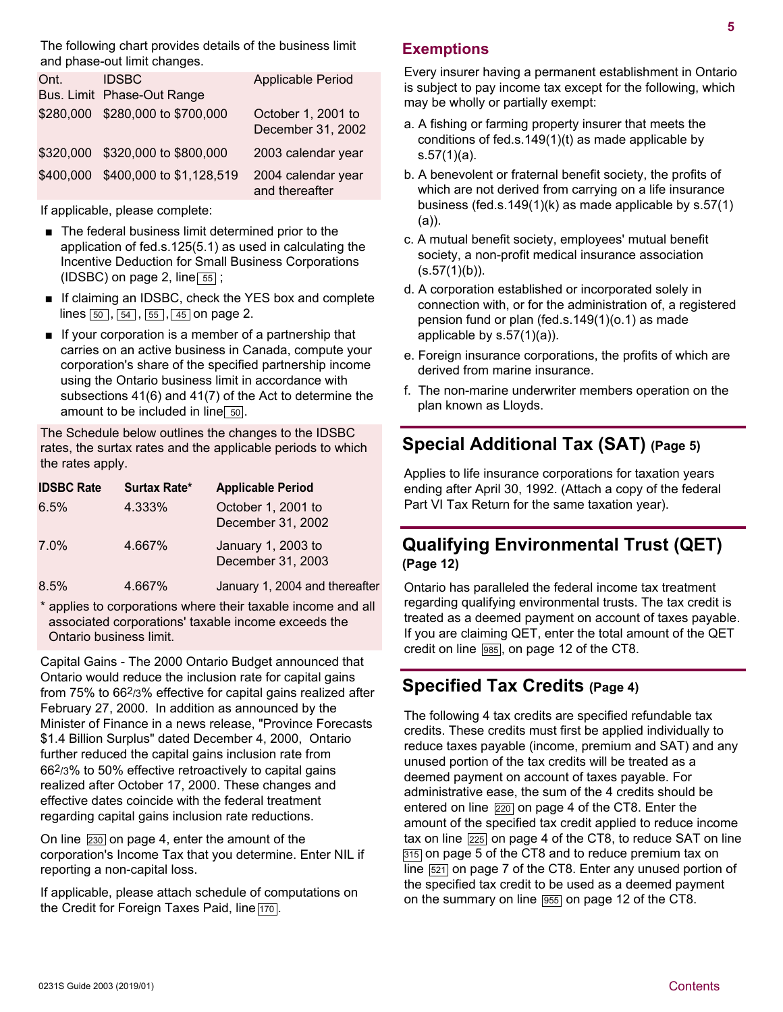The following chart provides details of the business limit and phase-out limit changes.

| Ont.      | <b>IDSBC</b><br>Bus. Limit Phase-Out Range | <b>Applicable Period</b>                |
|-----------|--------------------------------------------|-----------------------------------------|
|           | \$280,000 \$280,000 to \$700,000           | October 1, 2001 to<br>December 31, 2002 |
|           | \$320,000 \$320,000 to \$800,000           | 2003 calendar year                      |
| \$400,000 | \$400,000 to \$1,128,519                   | 2004 calendar year<br>and thereafter    |

If applicable, please complete:

- The federal business limit determined prior to the application of fed.s.125(5.1) as used in calculating the Incentive Deduction for Small Business Corporations (IDSBC) on page 2, line  $\boxed{55}$ ;
- If claiming an IDSBC, check the YES box and complete lines  $\boxed{50}$ ,  $\boxed{54}$ ,  $\boxed{55}$ ,  $\boxed{45}$  on page 2.
- If your corporation is a member of a partnership that carries on an active business in Canada, compute your corporation's share of the specified partnership income using the Ontario business limit in accordance with subsections 41(6) and 41(7) of the Act to determine the amount to be included in line  $\boxed{50}$ .

The Schedule below outlines the changes to the IDSBC rates, the surtax rates and the applicable periods to which the rates apply.

| <b>IDSBC Rate</b> | <b>Surtax Rate*</b> | <b>Applicable Period</b>                |
|-------------------|---------------------|-----------------------------------------|
| 6.5%              | 4.333%              | October 1, 2001 to<br>December 31, 2002 |
| 7.0%              | 4.667%              | January 1, 2003 to<br>December 31, 2003 |
| 8.5%              | 4.667%              | January 1, 2004 and thereafter          |

applies to corporations where their taxable income and all associated corporations' taxable income exceeds the Ontario business limit.

Capital Gains - The 2000 Ontario Budget announced that Ontario would reduce the inclusion rate for capital gains from 75% to 662/3% effective for capital gains realized after February 27, 2000. In addition as announced by the Minister of Finance in a news release, "Province Forecasts \$1.4 Billion Surplus" dated December 4, 2000, Ontario further reduced the capital gains inclusion rate from 662/3% to 50% effective retroactively to capital gains realized after October 17, 2000. These changes and effective dates coincide with the federal treatment regarding capital gains inclusion rate reductions.

On line 230 on page 4, enter the amount of the corporation's Income Tax that you determine. Enter NIL if reporting a non-capital loss.

If applicable, please attach schedule of computations on the Credit for Foreign Taxes Paid, line [170].

## **Exemptions**

Every insurer having a permanent establishment in Ontario is subject to pay income tax except for the following, which may be wholly or partially exempt:

- a. A fishing or farming property insurer that meets the conditions of fed.s.149(1)(t) as made applicable by s.57(1)(a).
- b. A benevolent or fraternal benefit society, the profits of which are not derived from carrying on a life insurance business (fed.s.149(1)(k) as made applicable by s.57(1) (a)).
- c. A mutual benefit society, employees' mutual benefit society, a non-profit medical insurance association  $(s.57(1)(b))$ .
- d. A corporation established or incorporated solely in connection with, or for the administration of, a registered pension fund or plan (fed.s.149(1)(o.1) as made applicable by s.57(1)(a)).
- e. Foreign insurance corporations, the profits of which are derived from marine insurance.
- f. The non-marine underwriter members operation on the plan known as Lloyds.

# **Special Additional Tax (SAT) (Page 5)**

Applies to life insurance corporations for taxation years ending after April 30, 1992. (Attach a copy of the federal Part VI Tax Return for the same taxation year).

## **Qualifying Environmental Trust (QET) (Page 12)**

Ontario has paralleled the federal income tax treatment regarding qualifying environmental trusts. The tax credit is treated as a deemed payment on account of taxes payable. If you are claiming QET, enter the total amount of the QET credit on line [985], on page 12 of the CT8.

## **Specified Tax Credits (Page 4)**

The following 4 tax credits are specified refundable tax credits. These credits must first be applied individually to reduce taxes payable (income, premium and SAT) and any unused portion of the tax credits will be treated as a deemed payment on account of taxes payable. For administrative ease, the sum of the 4 credits should be entered on line  $\sqrt{220}$  on page 4 of the CT8. Enter the amount of the specified tax credit applied to reduce income tax on line  $\sqrt{225}$  on page 4 of the CT8, to reduce SAT on line 315 on page 5 of the CT8 and to reduce premium tax on line [521] on page 7 of the CT8. Enter any unused portion of the specified tax credit to be used as a deemed payment on the summary on line [955] on page 12 of the CT8.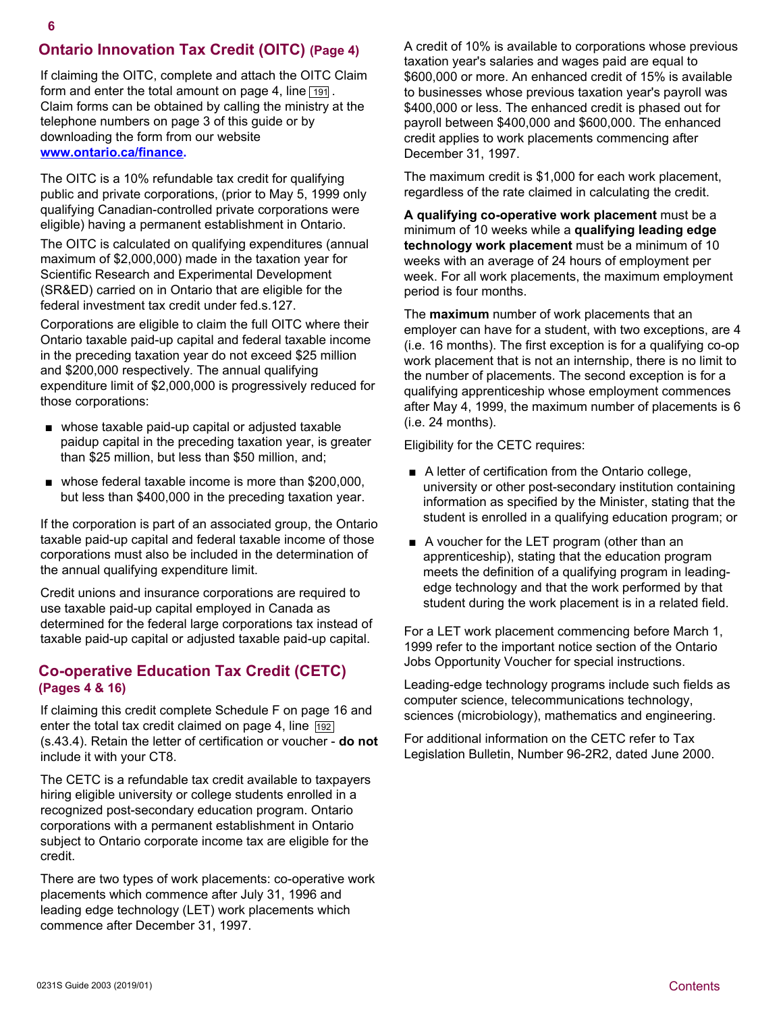## **Ontario Innovation Tax Credit (OITC) (Page 4)**

If claiming the OITC, complete and attach the OITC Claim form and enter the total amount on page 4, line  $\boxed{191}$ . Claim forms can be obtained by calling the ministry at the telephone numbers on page 3 of this guide or by downloading the form from our website **[www.ontario.ca/finance.](www.ontario.ca/finance)**

The OITC is a 10% refundable tax credit for qualifying public and private corporations, (prior to May 5, 1999 only qualifying Canadian-controlled private corporations were eligible) having a permanent establishment in Ontario.

The OITC is calculated on qualifying expenditures (annual maximum of \$2,000,000) made in the taxation year for Scientific Research and Experimental Development (SR&ED) carried on in Ontario that are eligible for the federal investment tax credit under fed.s.127.

Corporations are eligible to claim the full OITC where their Ontario taxable paid-up capital and federal taxable income in the preceding taxation year do not exceed \$25 million and \$200,000 respectively. The annual qualifying expenditure limit of \$2,000,000 is progressively reduced for those corporations:

- whose taxable paid-up capital or adjusted taxable paidup capital in the preceding taxation year, is greater than \$25 million, but less than \$50 million, and;
- whose federal taxable income is more than \$200,000, but less than \$400,000 in the preceding taxation year.

If the corporation is part of an associated group, the Ontario taxable paid-up capital and federal taxable income of those corporations must also be included in the determination of the annual qualifying expenditure limit.

Credit unions and insurance corporations are required to use taxable paid-up capital employed in Canada as determined for the federal large corporations tax instead of taxable paid-up capital or adjusted taxable paid-up capital.

#### **Co-operative Education Tax Credit (CETC) (Pages 4 & 16)**

If claiming this credit complete Schedule F on page 16 and enter the total tax credit claimed on page 4, line  $\sqrt{192}$ (s.43.4). Retain the letter of certification or voucher - **do not** include it with your CT8.

The CETC is a refundable tax credit available to taxpayers hiring eligible university or college students enrolled in a recognized post-secondary education program. Ontario corporations with a permanent establishment in Ontario subject to Ontario corporate income tax are eligible for the credit.

There are two types of work placements: co-operative work placements which commence after July 31, 1996 and leading edge technology (LET) work placements which commence after December 31, 1997.

A credit of 10% is available to corporations whose previous taxation year's salaries and wages paid are equal to \$600,000 or more. An enhanced credit of 15% is available to businesses whose previous taxation year's payroll was \$400,000 or less. The enhanced credit is phased out for payroll between \$400,000 and \$600,000. The enhanced credit applies to work placements commencing after December 31, 1997.

The maximum credit is \$1,000 for each work placement, regardless of the rate claimed in calculating the credit.

**A qualifying co-operative work placement** must be a minimum of 10 weeks while a **qualifying leading edge technology work placement** must be a minimum of 10 weeks with an average of 24 hours of employment per week. For all work placements, the maximum employment period is four months.

The **maximum** number of work placements that an employer can have for a student, with two exceptions, are 4 (i.e. 16 months). The first exception is for a qualifying co-op work placement that is not an internship, there is no limit to the number of placements. The second exception is for a qualifying apprenticeship whose employment commences after May 4, 1999, the maximum number of placements is 6 (i.e. 24 months).

Eligibility for the CETC requires:

- A letter of certification from the Ontario college, university or other post-secondary institution containing information as specified by the Minister, stating that the student is enrolled in a qualifying education program; or
- A voucher for the LET program (other than an apprenticeship), stating that the education program meets the definition of a qualifying program in leadingedge technology and that the work performed by that student during the work placement is in a related field.

For a LET work placement commencing before March 1, 1999 refer to the important notice section of the Ontario Jobs Opportunity Voucher for special instructions.

Leading-edge technology programs include such fields as computer science, telecommunications technology, sciences (microbiology), mathematics and engineering.

For additional information on the CETC refer to Tax Legislation Bulletin, Number 96-2R2, dated June 2000.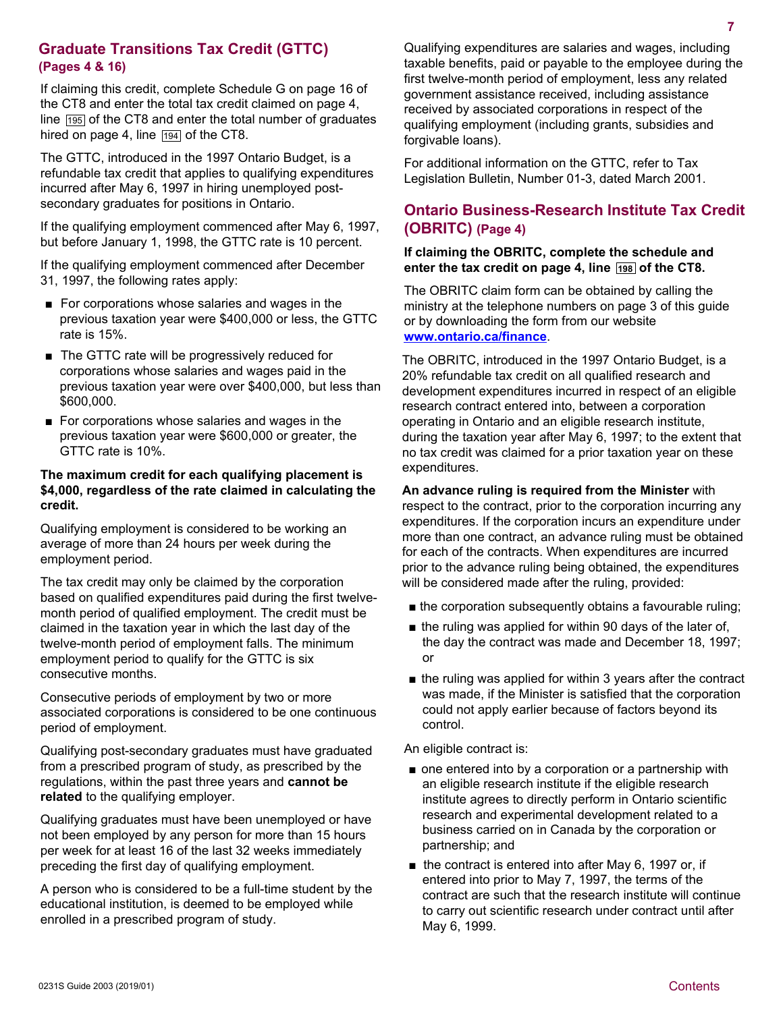#### **Graduate Transitions Tax Credit (GTTC) (Pages 4 & 16)**

If claiming this credit, complete Schedule G on page 16 of the CT8 and enter the total tax credit claimed on page 4, line  $\sqrt{195}$  of the CT8 and enter the total number of graduates hired on page 4, line  $\sqrt{194}$  of the CT8.

The GTTC, introduced in the 1997 Ontario Budget, is a refundable tax credit that applies to qualifying expenditures incurred after May 6, 1997 in hiring unemployed postsecondary graduates for positions in Ontario.

If the qualifying employment commenced after May 6, 1997, but before January 1, 1998, the GTTC rate is 10 percent.

If the qualifying employment commenced after December 31, 1997, the following rates apply:

- For corporations whose salaries and wages in the previous taxation year were \$400,000 or less, the GTTC rate is 15%.
- The GTTC rate will be progressively reduced for corporations whose salaries and wages paid in the previous taxation year were over \$400,000, but less than \$600,000.
- For corporations whose salaries and wages in the previous taxation year were \$600,000 or greater, the GTTC rate is 10%.

#### **The maximum credit for each qualifying placement is \$4,000, regardless of the rate claimed in calculating the credit.**

Qualifying employment is considered to be working an average of more than 24 hours per week during the employment period.

The tax credit may only be claimed by the corporation based on qualified expenditures paid during the first twelvemonth period of qualified employment. The credit must be claimed in the taxation year in which the last day of the twelve-month period of employment falls. The minimum employment period to qualify for the GTTC is six consecutive months.

Consecutive periods of employment by two or more associated corporations is considered to be one continuous period of employment.

Qualifying post-secondary graduates must have graduated from a prescribed program of study, as prescribed by the regulations, within the past three years and **cannot be related** to the qualifying employer.

Qualifying graduates must have been unemployed or have not been employed by any person for more than 15 hours per week for at least 16 of the last 32 weeks immediately preceding the first day of qualifying employment.

A person who is considered to be a full-time student by the educational institution, is deemed to be employed while enrolled in a prescribed program of study.

Qualifying expenditures are salaries and wages, including taxable benefits, paid or payable to the employee during the first twelve-month period of employment, less any related government assistance received, including assistance received by associated corporations in respect of the qualifying employment (including grants, subsidies and forgivable loans).

For additional information on the GTTC, refer to Tax Legislation Bulletin, Number 01-3, dated March 2001.

## **Ontario Business-Research Institute Tax Credit (OBRITC) (Page 4)**

#### **If claiming the OBRITC, complete the schedule and**  enter the tax credit on page 4, line 198 of the CT8.

The OBRITC claim form can be obtained by calling the ministry at the telephone numbers on page 3 of this guide or by downloading the form from our website **<www.ontario.ca/finance>**[.](www.ontario.ca/finance)

The OBRITC, introduced in the 1997 Ontario Budget, is a 20% refundable tax credit on all qualified research and development expenditures incurred in respect of an eligible research contract entered into, between a corporation operating in Ontario and an eligible research institute, during the taxation year after May 6, 1997; to the extent that no tax credit was claimed for a prior taxation year on these expenditures.

#### **An advance ruling is required from the Minister** with

respect to the contract, prior to the corporation incurring any expenditures. If the corporation incurs an expenditure under more than one contract, an advance ruling must be obtained for each of the contracts. When expenditures are incurred prior to the advance ruling being obtained, the expenditures will be considered made after the ruling, provided:

- the corporation subsequently obtains a favourable ruling;
- the ruling was applied for within 90 days of the later of, the day the contract was made and December 18, 1997; or
- the ruling was applied for within 3 years after the contract was made, if the Minister is satisfied that the corporation could not apply earlier because of factors beyond its control.

An eligible contract is:

- one entered into by a corporation or a partnership with an eligible research institute if the eligible research institute agrees to directly perform in Ontario scientific research and experimental development related to a business carried on in Canada by the corporation or partnership; and
- the contract is entered into after May 6, 1997 or, if entered into prior to May 7, 1997, the terms of the contract are such that the research institute will continue to carry out scientific research under contract until after May 6, 1999.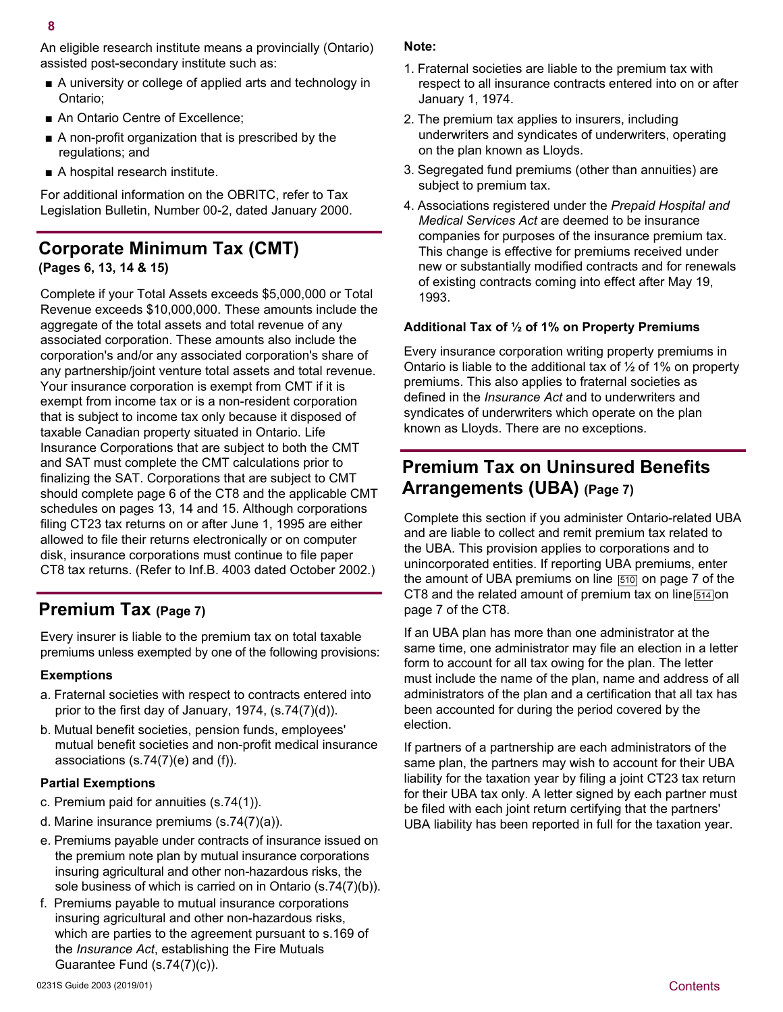An eligible research institute means a provincially (Ontario) assisted post-secondary institute such as:

- A university or college of applied arts and technology in Ontario;
- An Ontario Centre of Excellence;
- A non-profit organization that is prescribed by the regulations; and
- A hospital research institute.

For additional information on the OBRITC, refer to Tax Legislation Bulletin, Number 00-2, dated January 2000.

## **Corporate Minimum Tax (CMT) (Pages 6, 13, 14 & 15)**

Complete if your Total Assets exceeds \$5,000,000 or Total Revenue exceeds \$10,000,000. These amounts include the aggregate of the total assets and total revenue of any associated corporation. These amounts also include the corporation's and/or any associated corporation's share of any partnership/joint venture total assets and total revenue. Your insurance corporation is exempt from CMT if it is exempt from income tax or is a non-resident corporation that is subject to income tax only because it disposed of taxable Canadian property situated in Ontario. Life Insurance Corporations that are subject to both the CMT and SAT must complete the CMT calculations prior to finalizing the SAT. Corporations that are subject to CMT should complete page 6 of the CT8 and the applicable CMT schedules on pages 13, 14 and 15. Although corporations filing CT23 tax returns on or after June 1, 1995 are either allowed to file their returns electronically or on computer disk, insurance corporations must continue to file paper CT8 tax returns. (Refer to Inf.B. 4003 dated October 2002.)

# **Premium Tax (Page 7)**

Every insurer is liable to the premium tax on total taxable premiums unless exempted by one of the following provisions:

#### **Exemptions**

- a. Fraternal societies with respect to contracts entered into prior to the first day of January, 1974, (s.74(7)(d)).
- b. Mutual benefit societies, pension funds, employees' mutual benefit societies and non-profit medical insurance associations (s.74(7)(e) and (f)).

#### **Partial Exemptions**

- c. Premium paid for annuities (s.74(1)).
- d. Marine insurance premiums (s.74(7)(a)).
- e. Premiums payable under contracts of insurance issued on the premium note plan by mutual insurance corporations insuring agricultural and other non-hazardous risks, the sole business of which is carried on in Ontario (s.74(7)(b)).
- f. Premiums payable to mutual insurance corporations insuring agricultural and other non-hazardous risks, which are parties to the agreement pursuant to s.169 of the *Insurance Act*, establishing the Fire Mutuals Guarantee Fund (s.74(7)(c)).

#### **Note:**

- 1. Fraternal societies are liable to the premium tax with respect to all insurance contracts entered into on or after January 1, 1974.
- 2. The premium tax applies to insurers, including underwriters and syndicates of underwriters, operating on the plan known as Lloyds.
- 3. Segregated fund premiums (other than annuities) are subject to premium tax.
- 4. Associations registered under the *Prepaid Hospital and Medical Services Act* are deemed to be insurance companies for purposes of the insurance premium tax. This change is effective for premiums received under new or substantially modified contracts and for renewals of existing contracts coming into effect after May 19, 1993.

#### **Additional Tax of ½ of 1% on Property Premiums**

Every insurance corporation writing property premiums in Ontario is liable to the additional tax of ½ of 1% on property premiums. This also applies to fraternal societies as defined in the *Insurance Act* and to underwriters and syndicates of underwriters which operate on the plan known as Lloyds. There are no exceptions.

# **Premium Tax on Uninsured Benefits Arrangements (UBA) (Page 7)**

Complete this section if you administer Ontario-related UBA and are liable to collect and remit premium tax related to the UBA. This provision applies to corporations and to unincorporated entities. If reporting UBA premiums, enter the amount of UBA premiums on line  $\sqrt{510}$  on page 7 of the CT8 and the related amount of premium tax on line  $\sqrt{514}$  on page 7 of the CT8.

If an UBA plan has more than one administrator at the same time, one administrator may file an election in a letter form to account for all tax owing for the plan. The letter must include the name of the plan, name and address of all administrators of the plan and a certification that all tax has been accounted for during the period covered by the election.

If partners of a partnership are each administrators of the same plan, the partners may wish to account for their UBA liability for the taxation year by filing a joint CT23 tax return for their UBA tax only. A letter signed by each partner must be filed with each joint return certifying that the partners' UBA liability has been reported in full for the taxation year.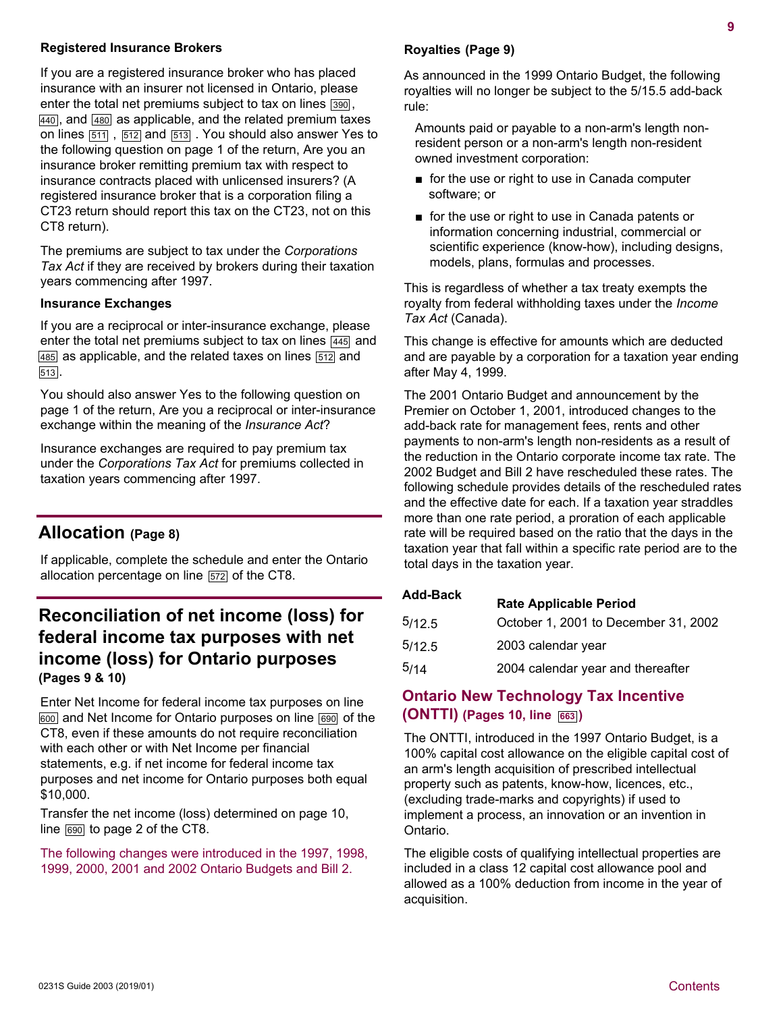#### **Registered Insurance Brokers**

If you are a registered insurance broker who has placed insurance with an insurer not licensed in Ontario, please enter the total net premiums subject to tax on lines  $\boxed{390}$ ,  $\overline{440}$ , and  $\overline{480}$  as applicable, and the related premium taxes on lines  $\boxed{511}$ ,  $\boxed{512}$  and  $\boxed{513}$ . You should also answer Yes to the following question on page 1 of the return, Are you an insurance broker remitting premium tax with respect to insurance contracts placed with unlicensed insurers? (A registered insurance broker that is a corporation filing a CT23 return should report this tax on the CT23, not on this CT8 return).

The premiums are subject to tax under the *Corporations Tax Act* if they are received by brokers during their taxation years commencing after 1997.

#### **Insurance Exchanges**

If you are a reciprocal or inter-insurance exchange, please enter the total net premiums subject to tax on lines  $\sqrt{445}$  and  $\sqrt{485}$  as applicable, and the related taxes on lines  $\sqrt{512}$  and 513 .

You should also answer Yes to the following question on page 1 of the return, Are you a reciprocal or inter-insurance exchange within the meaning of the *Insurance Act*?

Insurance exchanges are required to pay premium tax under the *Corporations Tax Act* for premiums collected in taxation years commencing after 1997.

## **Allocation (Page 8)**

If applicable, complete the schedule and enter the Ontario allocation percentage on line [572] of the CT8.

# **Reconciliation of net income (loss) for federal income tax purposes with net income (loss) for Ontario purposes (Pages 9 & 10)**

Enter Net Income for federal income tax purposes on line 600 and Net Income for Ontario purposes on line 690 of the CT8, even if these amounts do not require reconciliation with each other or with Net Income per financial statements, e.g. if net income for federal income tax purposes and net income for Ontario purposes both equal \$10,000.

Transfer the net income (loss) determined on page 10, line  $\boxed{690}$  to page 2 of the CT8.

The following changes were introduced in the 1997, 1998, 1999, 2000, 2001 and 2002 Ontario Budgets and Bill 2.

#### **Royalties (Page 9)**

As announced in the 1999 Ontario Budget, the following royalties will no longer be subject to the 5/15.5 add-back rule:

Amounts paid or payable to a non-arm's length nonresident person or a non-arm's length non-resident owned investment corporation:

- for the use or right to use in Canada computer software; or
- for the use or right to use in Canada patents or information concerning industrial, commercial or scientific experience (know-how), including designs, models, plans, formulas and processes.

This is regardless of whether a tax treaty exempts the royalty from federal withholding taxes under the *Income Tax Act* (Canada).

This change is effective for amounts which are deducted and are payable by a corporation for a taxation year ending after May 4, 1999.

The 2001 Ontario Budget and announcement by the Premier on October 1, 2001, introduced changes to the add-back rate for management fees, rents and other payments to non-arm's length non-residents as a result of the reduction in the Ontario corporate income tax rate. The 2002 Budget and Bill 2 have rescheduled these rates. The following schedule provides details of the rescheduled rates and the effective date for each. If a taxation year straddles more than one rate period, a proration of each applicable rate will be required based on the ratio that the days in the taxation year that fall within a specific rate period are to the total days in the taxation year.

| <b>Add-Back</b> | <b>Rate Applicable Period</b>        |
|-----------------|--------------------------------------|
| 5/12.5          | October 1, 2001 to December 31, 2002 |
| 5/12.5          | 2003 calendar year                   |
| 5/14            | 2004 calendar year and thereafter    |
|                 |                                      |

## **Ontario New Technology Tax Incentive (ONTTI) (Pages 10, line 663 )**

The ONTTI, introduced in the 1997 Ontario Budget, is a 100% capital cost allowance on the eligible capital cost of an arm's length acquisition of prescribed intellectual property such as patents, know-how, licences, etc., (excluding trade-marks and copyrights) if used to implement a process, an innovation or an invention in Ontario.

The eligible costs of qualifying intellectual properties are included in a class 12 capital cost allowance pool and allowed as a 100% deduction from income in the year of acquisition.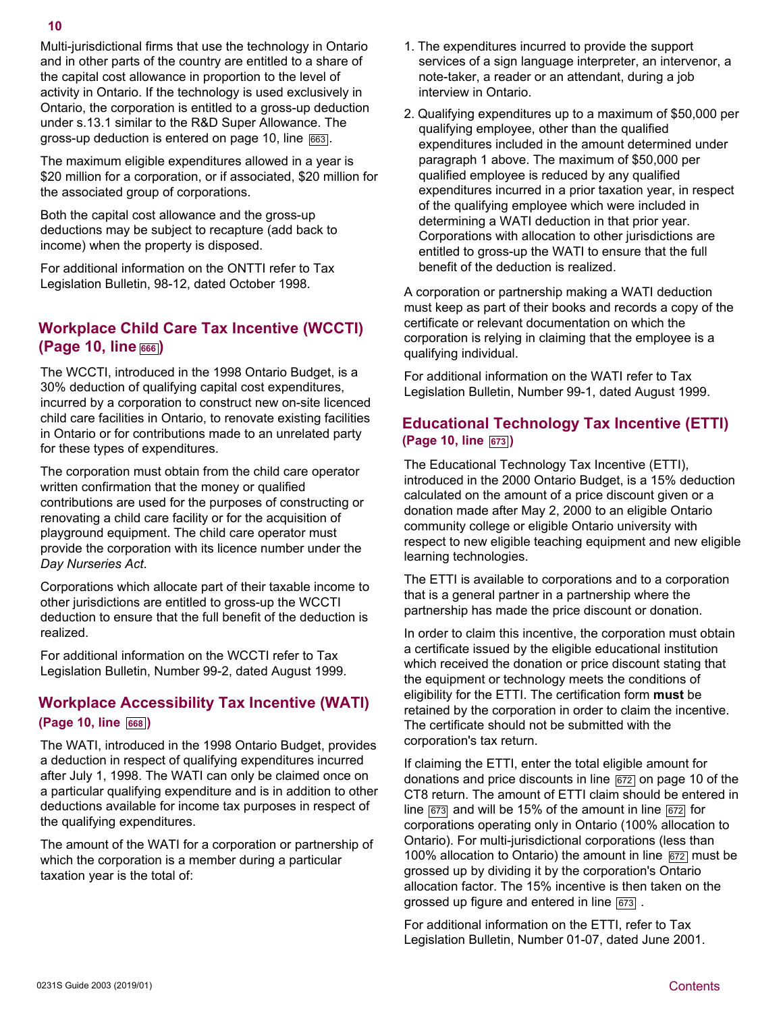Multi-jurisdictional firms that use the technology in Ontario and in other parts of the country are entitled to a share of the capital cost allowance in proportion to the level of activity in Ontario. If the technology is used exclusively in Ontario, the corporation is entitled to a gross-up deduction under s.13.1 similar to the R&D Super Allowance. The gross-up deduction is entered on page 10, line 663.

The maximum eligible expenditures allowed in a year is \$20 million for a corporation, or if associated, \$20 million for the associated group of corporations.

Both the capital cost allowance and the gross-up deductions may be subject to recapture (add back to income) when the property is disposed.

For additional information on the ONTTI refer to Tax Legislation Bulletin, 98-12, dated October 1998.

## **Workplace Child Care Tax Incentive (WCCTI) (Page 10, line 666 )**

The WCCTI, introduced in the 1998 Ontario Budget, is a 30% deduction of qualifying capital cost expenditures, incurred by a corporation to construct new on-site licenced child care facilities in Ontario, to renovate existing facilities in Ontario or for contributions made to an unrelated party for these types of expenditures.

The corporation must obtain from the child care operator written confirmation that the money or qualified contributions are used for the purposes of constructing or renovating a child care facility or for the acquisition of playground equipment. The child care operator must provide the corporation with its licence number under the *Day Nurseries Act*.

Corporations which allocate part of their taxable income to other jurisdictions are entitled to gross-up the WCCTI deduction to ensure that the full benefit of the deduction is realized.

For additional information on the WCCTI refer to Tax Legislation Bulletin, Number 99-2, dated August 1999.

## **Workplace Accessibility Tax Incentive (WATI) (Page 10, line 668 )**

The WATI, introduced in the 1998 Ontario Budget, provides a deduction in respect of qualifying expenditures incurred after July 1, 1998. The WATI can only be claimed once on a particular qualifying expenditure and is in addition to other deductions available for income tax purposes in respect of the qualifying expenditures.

The amount of the WATI for a corporation or partnership of which the corporation is a member during a particular taxation year is the total of:

- 1. The expenditures incurred to provide the support services of a sign language interpreter, an intervenor, a note-taker, a reader or an attendant, during a job interview in Ontario.
- 2. Qualifying expenditures up to a maximum of \$50,000 per qualifying employee, other than the qualified expenditures included in the amount determined under paragraph 1 above. The maximum of \$50,000 per qualified employee is reduced by any qualified expenditures incurred in a prior taxation year, in respect of the qualifying employee which were included in determining a WATI deduction in that prior year. Corporations with allocation to other jurisdictions are entitled to gross-up the WATI to ensure that the full benefit of the deduction is realized.

A corporation or partnership making a WATI deduction must keep as part of their books and records a copy of the certificate or relevant documentation on which the corporation is relying in claiming that the employee is a qualifying individual.

For additional information on the WATI refer to Tax Legislation Bulletin, Number 99-1, dated August 1999.

## **Educational Technology Tax Incentive (ETTI) (Page 10, line 673 )**

The Educational Technology Tax Incentive (ETTI), introduced in the 2000 Ontario Budget, is a 15% deduction calculated on the amount of a price discount given or a donation made after May 2, 2000 to an eligible Ontario community college or eligible Ontario university with respect to new eligible teaching equipment and new eligible learning technologies.

The ETTI is available to corporations and to a corporation that is a general partner in a partnership where the partnership has made the price discount or donation.

In order to claim this incentive, the corporation must obtain a certificate issued by the eligible educational institution which received the donation or price discount stating that the equipment or technology meets the conditions of eligibility for the ETTI. The certification form **must** be retained by the corporation in order to claim the incentive. The certificate should not be submitted with the corporation's tax return.

If claiming the ETTI, enter the total eligible amount for donations and price discounts in line  $\sqrt{672}$  on page 10 of the CT8 return. The amount of ETTI claim should be entered in line  $\sqrt{673}$  and will be 15% of the amount in line  $\sqrt{672}$  for corporations operating only in Ontario (100% allocation to Ontario). For multi-jurisdictional corporations (less than 100% allocation to Ontario) the amount in line  $\sqrt{672}$  must be grossed up by dividing it by the corporation's Ontario allocation factor. The 15% incentive is then taken on the grossed up figure and entered in line  $\sqrt{673}$ .

For additional information on the ETTI, refer to Tax Legislation Bulletin, Number 01-07, dated June 2001.